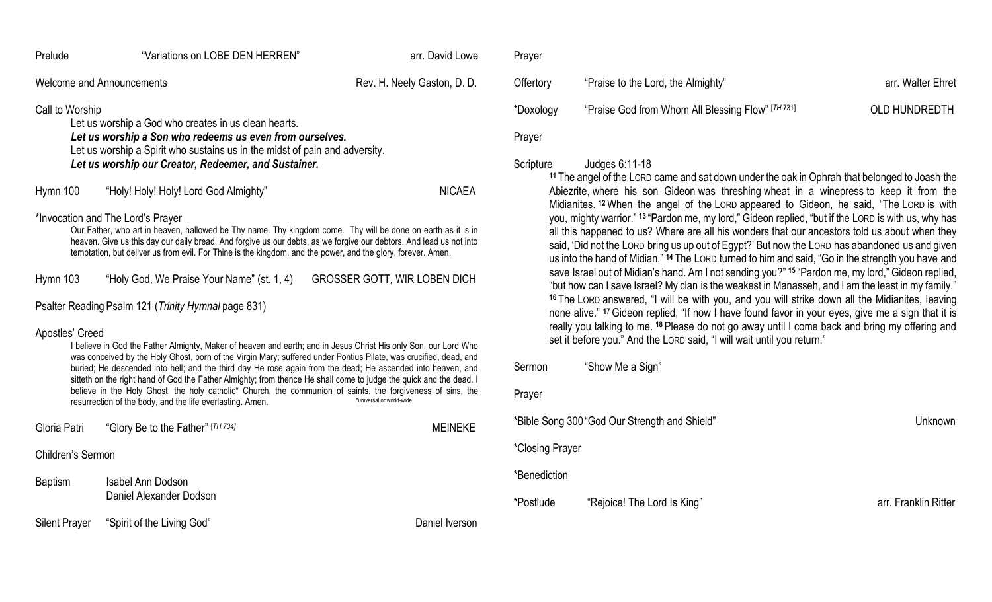|                                                     | Prelude                                                                                                                                                                                                                                                                                                                                                                                                                                                                                                                                                                                                                                                                                              | "Variations on LOBE DEN HERREN"                     | arr. David Lowe                     |  |  |
|-----------------------------------------------------|------------------------------------------------------------------------------------------------------------------------------------------------------------------------------------------------------------------------------------------------------------------------------------------------------------------------------------------------------------------------------------------------------------------------------------------------------------------------------------------------------------------------------------------------------------------------------------------------------------------------------------------------------------------------------------------------------|-----------------------------------------------------|-------------------------------------|--|--|
|                                                     |                                                                                                                                                                                                                                                                                                                                                                                                                                                                                                                                                                                                                                                                                                      | <b>Welcome and Announcements</b>                    | Rev. H. Neely Gaston, D. D.         |  |  |
|                                                     | Call to Worship<br>Let us worship a God who creates in us clean hearts.<br>Let us worship a Son who redeems us even from ourselves.<br>Let us worship a Spirit who sustains us in the midst of pain and adversity.<br>Let us worship our Creator, Redeemer, and Sustainer.                                                                                                                                                                                                                                                                                                                                                                                                                           |                                                     |                                     |  |  |
|                                                     | Hymn 100                                                                                                                                                                                                                                                                                                                                                                                                                                                                                                                                                                                                                                                                                             | "Holy! Holy! Holy! Lord God Almighty"               | <b>NICAEA</b>                       |  |  |
|                                                     | *Invocation and The Lord's Prayer<br>Our Father, who art in heaven, hallowed be Thy name. Thy kingdom come. Thy will be done on earth as it is in<br>heaven. Give us this day our daily bread. And forgive us our debts, as we forgive our debtors. And lead us not into<br>temptation, but deliver us from evil. For Thine is the kingdom, and the power, and the glory, forever. Amen.                                                                                                                                                                                                                                                                                                             |                                                     |                                     |  |  |
|                                                     | Hymn 103                                                                                                                                                                                                                                                                                                                                                                                                                                                                                                                                                                                                                                                                                             | "Holy God, We Praise Your Name" (st. 1, 4)          | <b>GROSSER GOTT, WIR LOBEN DICH</b> |  |  |
| Psalter Reading Psalm 121 (Trinity Hymnal page 831) |                                                                                                                                                                                                                                                                                                                                                                                                                                                                                                                                                                                                                                                                                                      |                                                     |                                     |  |  |
|                                                     | Apostles' Creed<br>I believe in God the Father Almighty, Maker of heaven and earth; and in Jesus Christ His only Son, our Lord Who<br>was conceived by the Holy Ghost, born of the Virgin Mary; suffered under Pontius Pilate, was crucified, dead, and<br>buried; He descended into hell; and the third day He rose again from the dead; He ascended into heaven, and<br>sitteth on the right hand of God the Father Almighty; from thence He shall come to judge the quick and the dead. I<br>believe in the Holy Ghost, the holy catholic* Church, the communion of saints, the forgiveness of sins, the<br>*universal or world-wide<br>resurrection of the body, and the life everlasting. Amen. |                                                     |                                     |  |  |
|                                                     | Gloria Patri                                                                                                                                                                                                                                                                                                                                                                                                                                                                                                                                                                                                                                                                                         | "Glory Be to the Father" [TH 734]                   | <b>MEINEKE</b>                      |  |  |
| Children's Sermon                                   |                                                                                                                                                                                                                                                                                                                                                                                                                                                                                                                                                                                                                                                                                                      |                                                     |                                     |  |  |
|                                                     | <b>Baptism</b>                                                                                                                                                                                                                                                                                                                                                                                                                                                                                                                                                                                                                                                                                       | <b>Isabel Ann Dodson</b><br>Daniel Alexander Dodson |                                     |  |  |
|                                                     | <b>Silent Prayer</b>                                                                                                                                                                                                                                                                                                                                                                                                                                                                                                                                                                                                                                                                                 | "Spirit of the Living God"                          | Daniel Iverson                      |  |  |

| Prayer    |                                                   |                      |
|-----------|---------------------------------------------------|----------------------|
| Offertory | "Praise to the Lord, the Almighty"                | arr. Walter Ehret    |
| *Doxology | "Praise God from Whom All Blessing Flow" [TH 731] | <b>OLD HUNDREDTH</b> |
| Prayer    |                                                   |                      |

#### Scripture Judges 6:11-18

**<sup>11</sup>** The angel of the LORD came and sat down under the oak in Ophrah that belonged to Joash the Abiezrite, where his son Gideon was threshing wheat in a winepress to keep it from the Midianites. **<sup>12</sup>**When the angel of the LORD appeared to Gideon, he said, "The LORD is with you, mighty warrior." **<sup>13</sup>** "Pardon me, my lord," Gideon replied, "but if the LORD is with us, why has all this happened to us? Where are all his wonders that our ancestors told us about when they said, 'Did not the LORD bring us up out of Egypt?' But now the LORD has abandoned us and given us into the hand of Midian." **<sup>14</sup>** The LORD turned to him and said, "Go in the strength you have and save Israel out of Midian's hand. Am I not sending you?" **<sup>15</sup>** "Pardon me, my lord," Gideon replied, "but how can I save Israel? My clan is the weakest in Manasseh, and I am the least in my family." **<sup>16</sup>** The LORD answered, "I will be with you, and you will strike down all the Midianites, leaving none alive." **<sup>17</sup>**Gideon replied, "If now I have found favor in your eyes, give me a sign that it is really you talking to me. **<sup>18</sup>** Please do not go away until I come back and bring my offering and set it before you." And the LORD said, "I will wait until you return."

Sermon "Show Me a Sign"

Prayer

| *Bible Song 300 "God Our Strength and Shield" | Unknown                     |                      |
|-----------------------------------------------|-----------------------------|----------------------|
| *Closing Prayer                               |                             |                      |
| *Benediction                                  |                             |                      |
| *Postlude                                     | "Rejoice! The Lord Is King" | arr. Franklin Ritter |